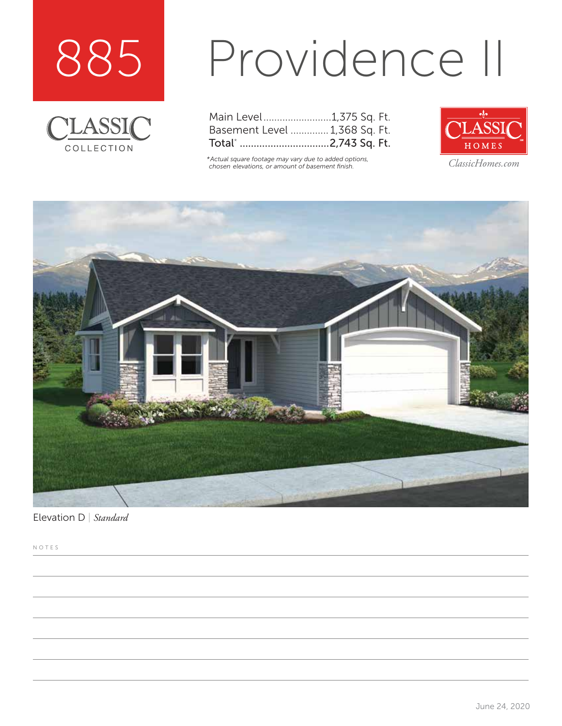



# Providence II

| Main Level1,375 Sq. Ft.       |  |  |
|-------------------------------|--|--|
| Basement Level  1,368 Sq. Ft. |  |  |
| Total* 2,743 Sq. Ft.          |  |  |

*\*Actual square footage may vary due to added options, chosen elevations, or amount of basement finish. ClassicHomes.com*





Elevation D | *Standard*

NOTES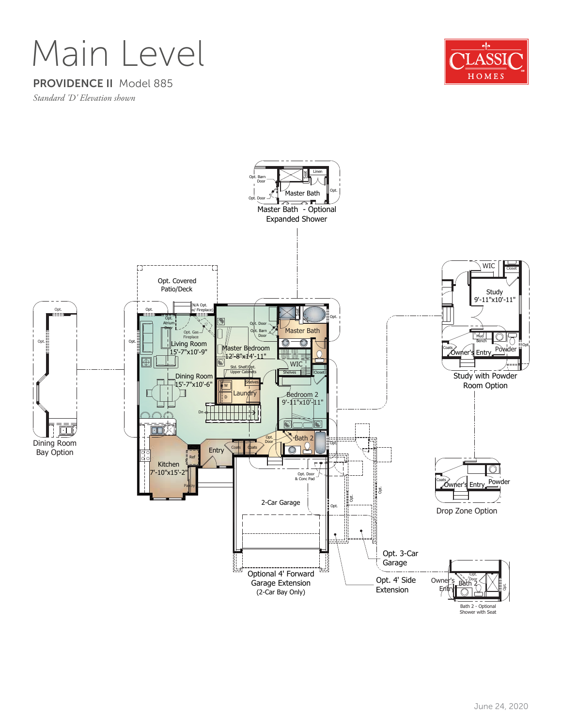### Main Level

#### PROVIDENCE II Model 885

*Standard 'D' Elevation shown*



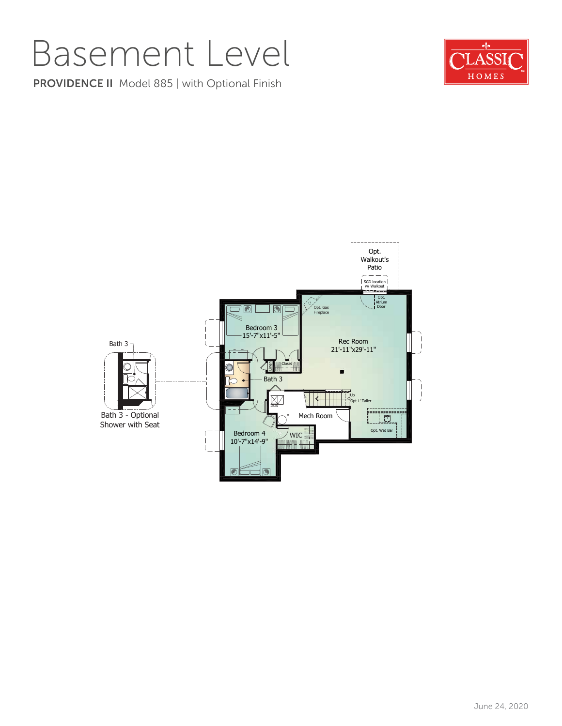### Basement Level

PROVIDENCE II Model 885 | with Optional Finish